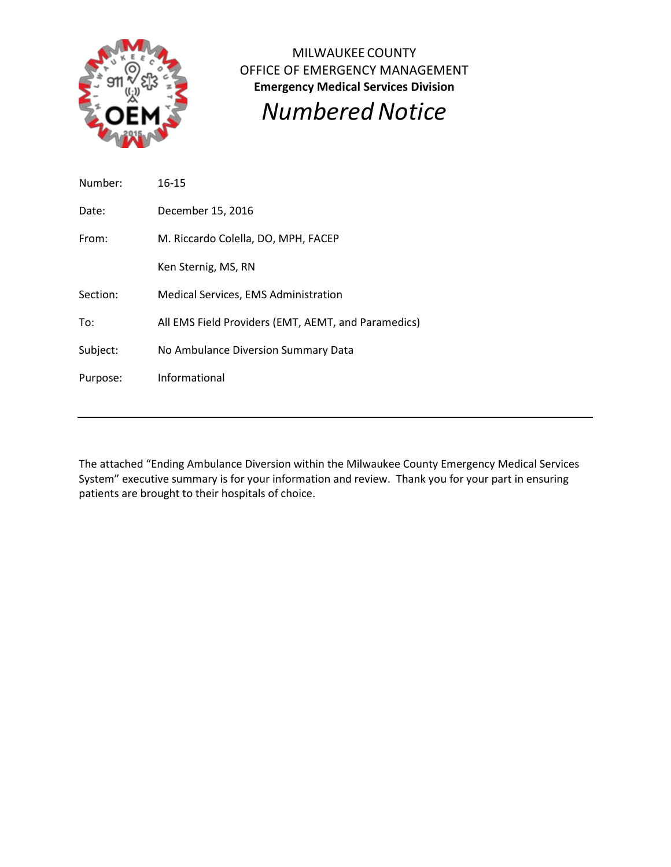

MILWAUKEE COUNTY OFFICE OF EMERGENCY MANAGEMENT **Emergency Medical Services Division** *NumberedNotice*

Number: 16-15 Date: December 15, 2016 From: M. Riccardo Colella, DO, MPH, FACEP Ken Sternig, MS, RN Section: Medical Services, EMS Administration To: All EMS Field Providers (EMT, AEMT, and Paramedics) Subject: No Ambulance Diversion Summary Data Purpose: Informational

The attached "Ending Ambulance Diversion within the Milwaukee County Emergency Medical Services System" executive summary is for your information and review. Thank you for your part in ensuring patients are brought to their hospitals of choice.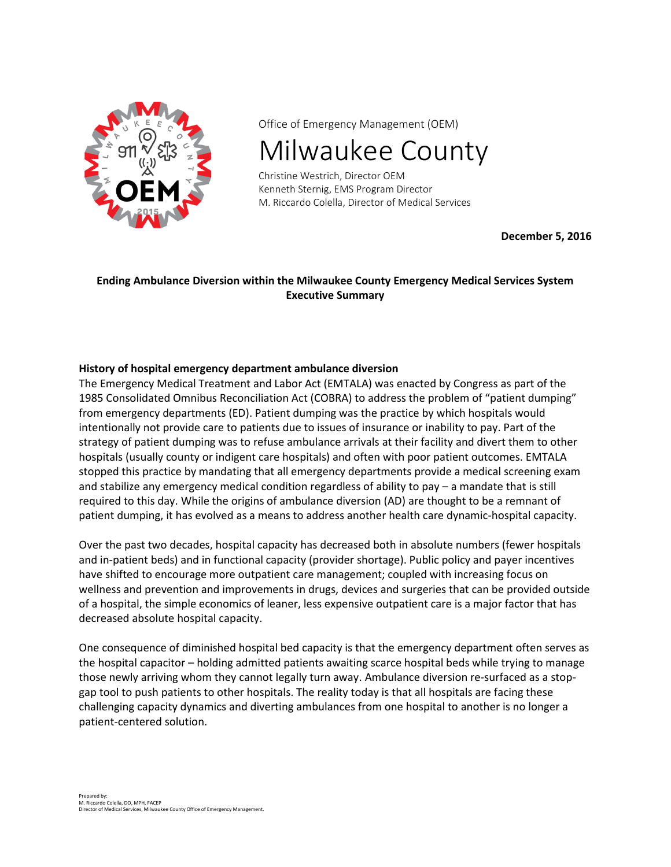

Office of Emergency Management (OEM)

Milwaukee County

Christine Westrich, Director OEM Kenneth Sternig, EMS Program Director M. Riccardo Colella, Director of Medical Services

**December 5, 2016**

# **Ending Ambulance Diversion within the Milwaukee County Emergency Medical Services System Executive Summary**

## **History of hospital emergency department ambulance diversion**

The Emergency Medical Treatment and Labor Act (EMTALA) was enacted by Congress as part of the 1985 Consolidated Omnibus Reconciliation Act (COBRA) to address the problem of "patient dumping" from emergency departments (ED). Patient dumping was the practice by which hospitals would intentionally not provide care to patients due to issues of insurance or inability to pay. Part of the strategy of patient dumping was to refuse ambulance arrivals at their facility and divert them to other hospitals (usually county or indigent care hospitals) and often with poor patient outcomes. EMTALA stopped this practice by mandating that all emergency departments provide a medical screening exam and stabilize any emergency medical condition regardless of ability to pay – a mandate that is still required to this day. While the origins of ambulance diversion (AD) are thought to be a remnant of patient dumping, it has evolved as a means to address another health care dynamic-hospital capacity.

Over the past two decades, hospital capacity has decreased both in absolute numbers (fewer hospitals and in-patient beds) and in functional capacity (provider shortage). Public policy and payer incentives have shifted to encourage more outpatient care management; coupled with increasing focus on wellness and prevention and improvements in drugs, devices and surgeries that can be provided outside of a hospital, the simple economics of leaner, less expensive outpatient care is a major factor that has decreased absolute hospital capacity.

One consequence of diminished hospital bed capacity is that the emergency department often serves as the hospital capacitor – holding admitted patients awaiting scarce hospital beds while trying to manage those newly arriving whom they cannot legally turn away. Ambulance diversion re-surfaced as a stopgap tool to push patients to other hospitals. The reality today is that all hospitals are facing these challenging capacity dynamics and diverting ambulances from one hospital to another is no longer a patient-centered solution.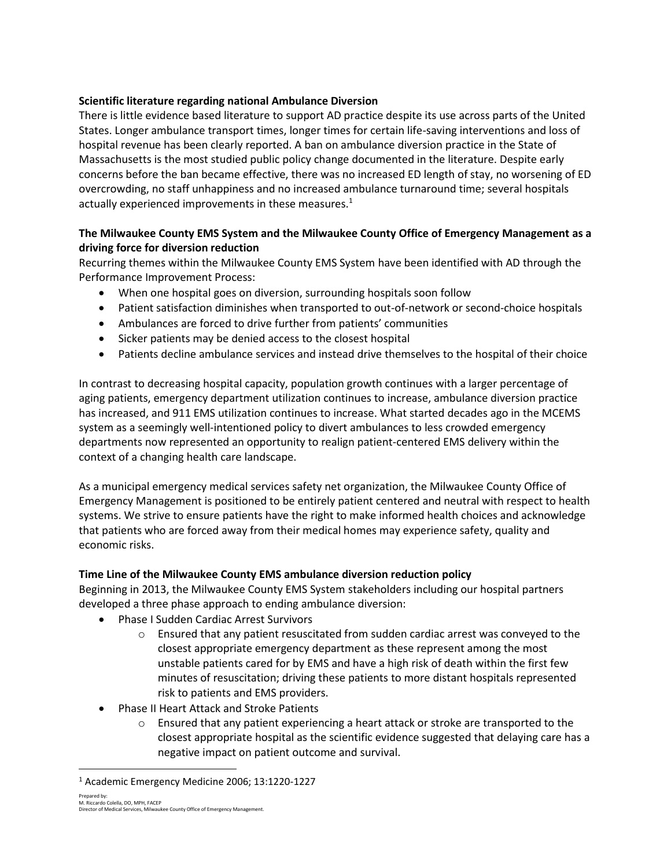## **Scientific literature regarding national Ambulance Diversion**

There is little evidence based literature to support AD practice despite its use across parts of the United States. Longer ambulance transport times, longer times for certain life-saving interventions and loss of hospital revenue has been clearly reported. A ban on ambulance diversion practice in the State of Massachusetts is the most studied public policy change documented in the literature. Despite early concerns before the ban became effective, there was no increased ED length of stay, no worsening of ED overcrowding, no staff unhappiness and no increased ambulance turnaround time; several hospitals actually experienced improvements in these measures. $1$ 

# **The Milwaukee County EMS System and the Milwaukee County Office of Emergency Management as a driving force for diversion reduction**

Recurring themes within the Milwaukee County EMS System have been identified with AD through the Performance Improvement Process:

- When one hospital goes on diversion, surrounding hospitals soon follow
- Patient satisfaction diminishes when transported to out-of-network or second-choice hospitals
- Ambulances are forced to drive further from patients' communities
- Sicker patients may be denied access to the closest hospital
- Patients decline ambulance services and instead drive themselves to the hospital of their choice

In contrast to decreasing hospital capacity, population growth continues with a larger percentage of aging patients, emergency department utilization continues to increase, ambulance diversion practice has increased, and 911 EMS utilization continues to increase. What started decades ago in the MCEMS system as a seemingly well-intentioned policy to divert ambulances to less crowded emergency departments now represented an opportunity to realign patient-centered EMS delivery within the context of a changing health care landscape.

As a municipal emergency medical services safety net organization, the Milwaukee County Office of Emergency Management is positioned to be entirely patient centered and neutral with respect to health systems. We strive to ensure patients have the right to make informed health choices and acknowledge that patients who are forced away from their medical homes may experience safety, quality and economic risks.

# **Time Line of the Milwaukee County EMS ambulance diversion reduction policy**

Beginning in 2013, the Milwaukee County EMS System stakeholders including our hospital partners developed a three phase approach to ending ambulance diversion:

- Phase I Sudden Cardiac Arrest Survivors
	- $\circ$  Ensured that any patient resuscitated from sudden cardiac arrest was conveyed to the closest appropriate emergency department as these represent among the most unstable patients cared for by EMS and have a high risk of death within the first few minutes of resuscitation; driving these patients to more distant hospitals represented risk to patients and EMS providers.
- Phase II Heart Attack and Stroke Patients
	- $\circ$  Ensured that any patient experiencing a heart attack or stroke are transported to the closest appropriate hospital as the scientific evidence suggested that delaying care has a negative impact on patient outcome and survival.

Prepared by: M. Riccardo Colella, DO, MPH, FACEP Director of Medical Services, Milwaukee County Office of Emergency Management.

 $\overline{\phantom{a}}$ 

<sup>1</sup> Academic Emergency Medicine 2006; 13:1220-1227